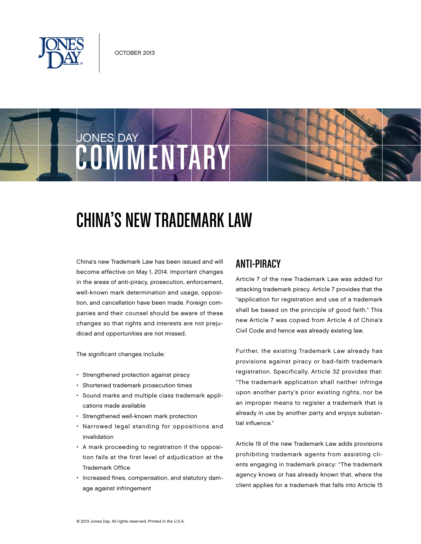

JONES DAY

# **COMMENTARY**

# China's New Trademark Law

China's new Trademark Law has been issued and will become effective on May 1, 2014. Important changes in the areas of anti-piracy, prosecution, enforcement, well-known mark determination and usage, opposition, and cancellation have been made. Foreign companies and their counsel should be aware of these changes so that rights and interests are not prejudiced and opportunities are not missed.

The significant changes include:

- Strengthened protection against piracy
- • Shortened trademark prosecution times
- • Sound marks and multiple class trademark applications made available
- • Strengthened well-known mark protection
- • Narrowed legal standing for oppositions and invalidation
- • A mark proceeding to registration if the opposition fails at the first level of adjudication at the Trademark Office
- • Increased fines, compensation, and statutory damage against infringement

#### Anti-Piracy

Article 7 of the new Trademark Law was added for attacking trademark piracy. Article 7 provides that the "application for registration and use of a trademark shall be based on the principle of good faith." This new Article 7 was copied from Article 4 of China's Civil Code and hence was already existing law.

Further, the existing Trademark Law already has provisions against piracy or bad-faith trademark registration. Specifically, Article 32 provides that: "The trademark application shall neither infringe upon another party's prior existing rights, nor be an improper means to register a trademark that is already in use by another party and enjoys substantial influence."

Article 19 of the new Trademark Law adds provisions prohibiting trademark agents from assisting clients engaging in trademark piracy: "The trademark agency knows or has already known that, where the client applies for a trademark that falls into Article 15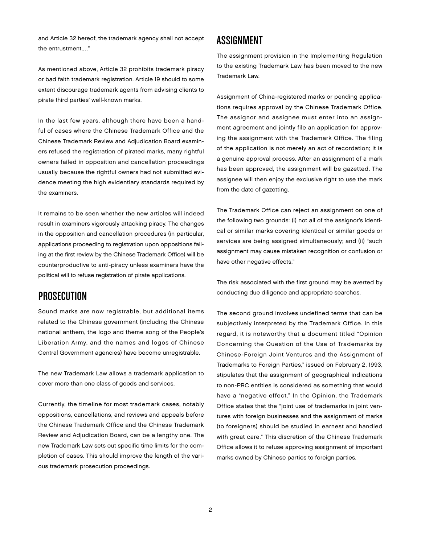and Article 32 hereof, the trademark agency shall not accept the entrustment.…"

As mentioned above, Article 32 prohibits trademark piracy or bad faith trademark registration. Article 19 should to some extent discourage trademark agents from advising clients to pirate third parties' well-known marks.

In the last few years, although there have been a handful of cases where the Chinese Trademark Office and the Chinese Trademark Review and Adjudication Board examiners refused the registration of pirated marks, many rightful owners failed in opposition and cancellation proceedings usually because the rightful owners had not submitted evidence meeting the high evidentiary standards required by the examiners.

It remains to be seen whether the new articles will indeed result in examiners vigorously attacking piracy. The changes in the opposition and cancellation procedures (in particular, applications proceeding to registration upon oppositions failing at the first review by the Chinese Trademark Office) will be counterproductive to anti-piracy unless examiners have the political will to refuse registration of pirate applications.

#### **PROSECUTION**

Sound marks are now registrable, but additional items related to the Chinese government (including the Chinese national anthem, the logo and theme song of the People's Liberation Army, and the names and logos of Chinese Central Government agencies) have become unregistrable.

The new Trademark Law allows a trademark application to cover more than one class of goods and services.

Currently, the timeline for most trademark cases, notably oppositions, cancellations, and reviews and appeals before the Chinese Trademark Office and the Chinese Trademark Review and Adjudication Board, can be a lengthy one. The new Trademark Law sets out specific time limits for the completion of cases. This should improve the length of the various trademark prosecution proceedings.

#### Assignment

The assignment provision in the Implementing Regulation to the existing Trademark Law has been moved to the new Trademark Law.

Assignment of China-registered marks or pending applications requires approval by the Chinese Trademark Office. The assignor and assignee must enter into an assignment agreement and jointly file an application for approving the assignment with the Trademark Office. The filing of the application is not merely an act of recordation; it is a genuine approval process. After an assignment of a mark has been approved, the assignment will be gazetted. The assignee will then enjoy the exclusive right to use the mark from the date of gazetting.

The Trademark Office can reject an assignment on one of the following two grounds: (i) not all of the assignor's identical or similar marks covering identical or similar goods or services are being assigned simultaneously; and (ii) "such assignment may cause mistaken recognition or confusion or have other negative effects."

The risk associated with the first ground may be averted by conducting due diligence and appropriate searches.

The second ground involves undefined terms that can be subjectively interpreted by the Trademark Office. In this regard, it is noteworthy that a document titled "Opinion Concerning the Question of the Use of Trademarks by Chinese-Foreign Joint Ventures and the Assignment of Trademarks to Foreign Parties," issued on February 2, 1993, stipulates that the assignment of geographical indications to non-PRC entities is considered as something that would have a "negative effect." In the Opinion, the Trademark Office states that the "joint use of trademarks in joint ventures with foreign businesses and the assignment of marks (to foreigners) should be studied in earnest and handled with great care." This discretion of the Chinese Trademark Office allows it to refuse approving assignment of important marks owned by Chinese parties to foreign parties.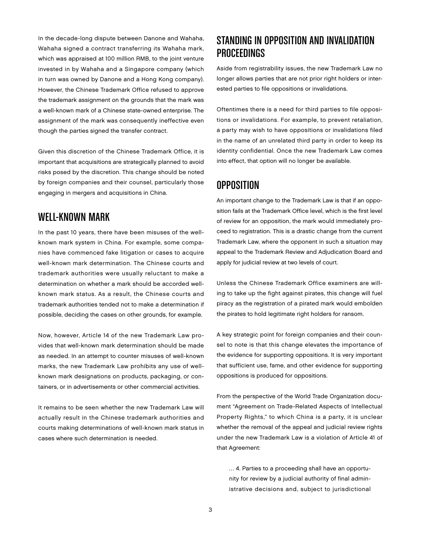In the decade-long dispute between Danone and Wahaha, Wahaha signed a contract transferring its Wahaha mark, which was appraised at 100 million RMB, to the joint venture invested in by Wahaha and a Singapore company (which in turn was owned by Danone and a Hong Kong company). However, the Chinese Trademark Office refused to approve the trademark assignment on the grounds that the mark was a well-known mark of a Chinese state-owned enterprise. The assignment of the mark was consequently ineffective even though the parties signed the transfer contract.

Given this discretion of the Chinese Trademark Office, it is important that acquisitions are strategically planned to avoid risks posed by the discretion. This change should be noted by foreign companies and their counsel, particularly those engaging in mergers and acquisitions in China.

#### Well-Known Mark

In the past 10 years, there have been misuses of the wellknown mark system in China. For example, some companies have commenced fake litigation or cases to acquire well-known mark determination. The Chinese courts and trademark authorities were usually reluctant to make a determination on whether a mark should be accorded wellknown mark status. As a result, the Chinese courts and trademark authorities tended not to make a determination if possible, deciding the cases on other grounds, for example.

Now, however, Article 14 of the new Trademark Law provides that well-known mark determination should be made as needed. In an attempt to counter misuses of well-known marks, the new Trademark Law prohibits any use of wellknown mark designations on products, packaging, or containers, or in advertisements or other commercial activities.

It remains to be seen whether the new Trademark Law will actually result in the Chinese trademark authorities and courts making determinations of well-known mark status in cases where such determination is needed.

# Standing in Opposition and Invalidation Proceedings

Aside from registrability issues, the new Trademark Law no longer allows parties that are not prior right holders or interested parties to file oppositions or invalidations.

Oftentimes there is a need for third parties to file oppositions or invalidations. For example, to prevent retaliation, a party may wish to have oppositions or invalidations filed in the name of an unrelated third party in order to keep its identity confidential. Once the new Trademark Law comes into effect, that option will no longer be available.

## **OPPOSITION**

An important change to the Trademark Law is that if an opposition fails at the Trademark Office level, which is the first level of review for an opposition, the mark would immediately proceed to registration. This is a drastic change from the current Trademark Law, where the opponent in such a situation may appeal to the Trademark Review and Adjudication Board and apply for judicial review at two levels of court.

Unless the Chinese Trademark Office examiners are willing to take up the fight against pirates, this change will fuel piracy as the registration of a pirated mark would embolden the pirates to hold legitimate right holders for ransom.

A key strategic point for foreign companies and their counsel to note is that this change elevates the importance of the evidence for supporting oppositions. It is very important that sufficient use, fame, and other evidence for supporting oppositions is produced for oppositions.

From the perspective of the World Trade Organization document "Agreement on Trade-Related Aspects of Intellectual Property Rights," to which China is a party, it is unclear whether the removal of the appeal and judicial review rights under the new Trademark Law is a violation of Article 41 of that Agreement:

… 4. Parties to a proceeding shall have an opportunity for review by a judicial authority of final administrative decisions and, subject to jurisdictional